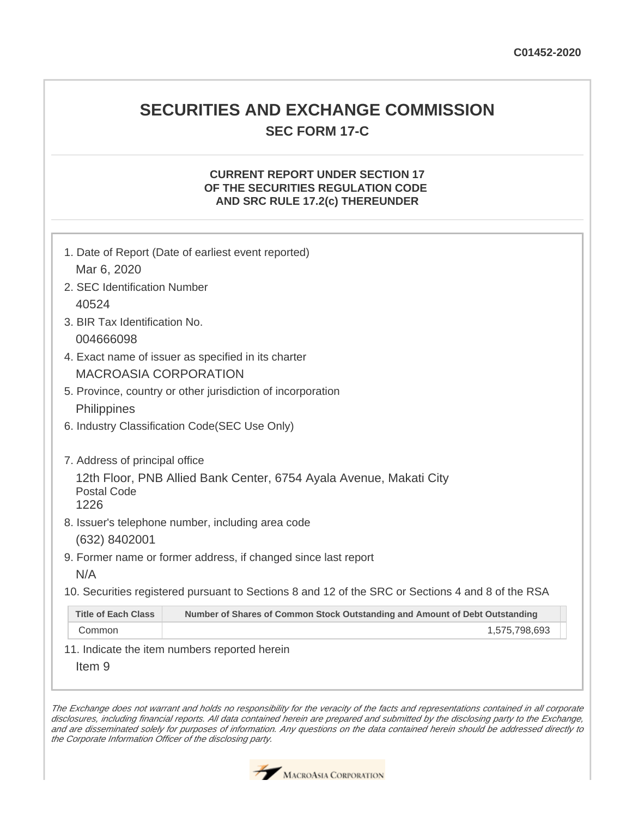# **SECURITIES AND EXCHANGE COMMISSION SEC FORM 17-C**

## **CURRENT REPORT UNDER SECTION 17 OF THE SECURITIES REGULATION CODE AND SRC RULE 17.2(c) THEREUNDER**

| 1. Date of Report (Date of earliest event reported)<br>Mar 6, 2020                                |                                                                             |  |  |  |
|---------------------------------------------------------------------------------------------------|-----------------------------------------------------------------------------|--|--|--|
| 2. SEC Identification Number                                                                      |                                                                             |  |  |  |
| 40524                                                                                             |                                                                             |  |  |  |
| 3. BIR Tax Identification No.                                                                     |                                                                             |  |  |  |
| 004666098                                                                                         |                                                                             |  |  |  |
| 4. Exact name of issuer as specified in its charter                                               |                                                                             |  |  |  |
| <b>MACROASIA CORPORATION</b>                                                                      |                                                                             |  |  |  |
| 5. Province, country or other jurisdiction of incorporation                                       |                                                                             |  |  |  |
| Philippines                                                                                       |                                                                             |  |  |  |
| 6. Industry Classification Code(SEC Use Only)                                                     |                                                                             |  |  |  |
|                                                                                                   |                                                                             |  |  |  |
| 7. Address of principal office                                                                    |                                                                             |  |  |  |
| 12th Floor, PNB Allied Bank Center, 6754 Ayala Avenue, Makati City<br><b>Postal Code</b><br>1226  |                                                                             |  |  |  |
| 8. Issuer's telephone number, including area code                                                 |                                                                             |  |  |  |
| (632) 8402001                                                                                     |                                                                             |  |  |  |
| 9. Former name or former address, if changed since last report                                    |                                                                             |  |  |  |
| N/A                                                                                               |                                                                             |  |  |  |
| 10. Securities registered pursuant to Sections 8 and 12 of the SRC or Sections 4 and 8 of the RSA |                                                                             |  |  |  |
| <b>Title of Each Class</b>                                                                        | Number of Shares of Common Stock Outstanding and Amount of Debt Outstanding |  |  |  |
| Common                                                                                            | 1,575,798,693                                                               |  |  |  |
|                                                                                                   | 11. Indicate the item numbers reported herein                               |  |  |  |

Item 9

The Exchange does not warrant and holds no responsibility for the veracity of the facts and representations contained in all corporate disclosures, including financial reports. All data contained herein are prepared and submitted by the disclosing party to the Exchange, and are disseminated solely for purposes of information. Any questions on the data contained herein should be addressed directly to the Corporate Information Officer of the disclosing party.